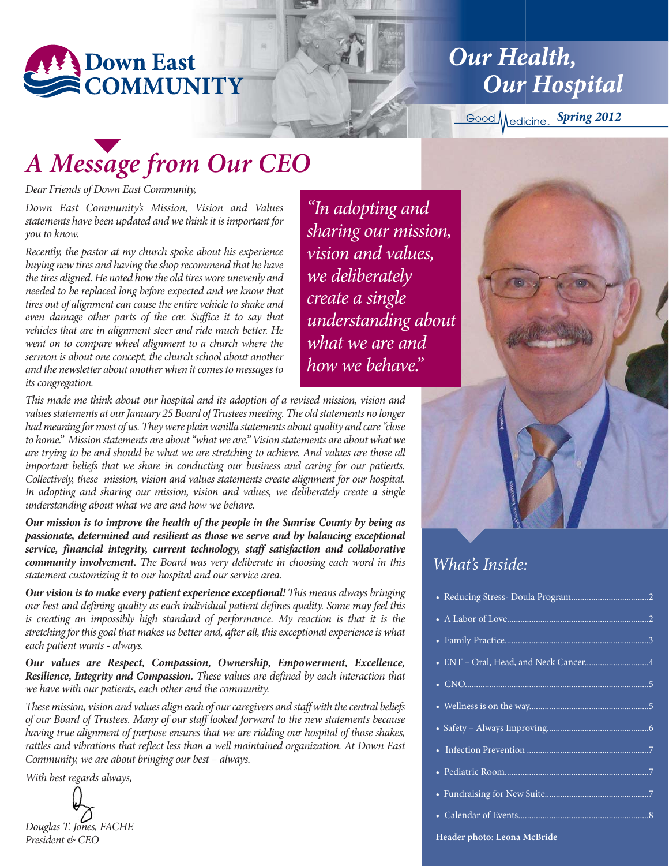

**Our Health, Our Hospital** 

*Spring 2012*

# *A Message from Our CEO*

*Dear Friends of Down East Community,*

*Down East Community's Mission, Vision and Values statements have been updated and we think it is important for you to know.*

*Recently, the pastor at my church spoke about his experience buying new tires and having the shop recommend that he have the tires aligned. He noted how the old tires wore unevenly and needed to be replaced long before expected and we know that tires out of alignment can cause the entire vehicle to shake and even damage other parts of the car. Suffice it to say that vehicles that are in alignment steer and ride much better. He went on to compare wheel alignment to a church where the sermon is about one concept, the church school about another and the newsletter about another when it comes to messages to its congregation.* 

*This made me think about our hospital and its adoption of a revised mission, vision and values statements at our January 25 Board of Trustees meeting. The old statements no longer had meaning for most of us. They were plain vanilla statements about quality and care "close to home." Mission statements are about "what we are." Vision statements are about what we are trying to be and should be what we are stretching to achieve. And values are those all important beliefs that we share in conducting our business and caring for our patients. Collectively, these mission, vision and values statements create alignment for our hospital. In adopting and sharing our mission, vision and values, we deliberately create a single understanding about what we are and how we behave.* 

*Our mission is to improve the health of the people in the Sunrise County by being as passionate, determined and resilient as those we serve and by balancing exceptional service, financial integrity, current technology, staff satisfaction and collaborative community involvement. The Board was very deliberate in choosing each word in this statement customizing it to our hospital and our service area.* 

*Our vision is to make every patient experience exceptional! This means always bringing our best and defining quality as each individual patient defines quality. Some may feel this is creating an impossibly high standard of performance. My reaction is that it is the stretching for this goal that makes us better and, after all, this exceptional experience is what each patient wants - always.*

*Our values are Respect, Compassion, Ownership, Empowerment, Excellence, Resilience, Integrity and Compassion. These values are defined by each interaction that we have with our patients, each other and the community.* 

*These mission, vision and values align each of our caregivers and staff with the central beliefs of our Board of Trustees. Many of our staff looked forward to the new statements because having true alignment of purpose ensures that we are ridding our hospital of those shakes, rattles and vibrations that reflect less than a well maintained organization. At Down East Community, we are about bringing our best – always.*

*With best regards always,*



*"In adopting and sharing our mission, vision and values, we deliberately create a single understanding about what we are and how we behave."*

### *What's Inside:*

elendar of Events...

**Header photo: Leona McBride**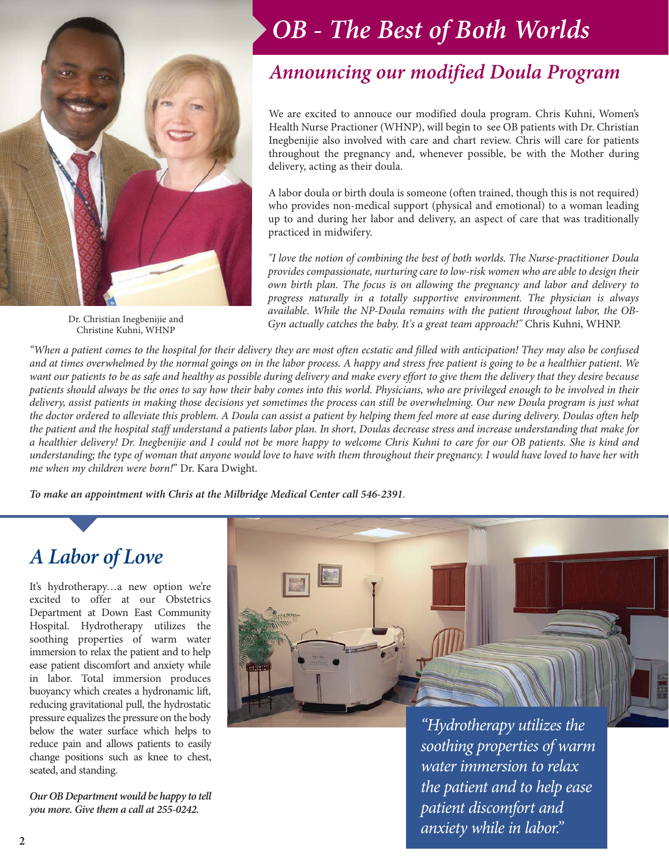

Dr. Christian Inegbenijie and Christine Kuhni, WHNP

## *OB - The Best of Both Worlds*

### *Announcing our modified Doula Program*

We are excited to annouce our modified doula program. Chris Kuhni, Women's Health Nurse Practioner (WHNP), will begin to see OB patients with Dr. Christian Inegbenijie also involved with care and chart review. Chris will care for patients throughout the pregnancy and, whenever possible, be with the Mother during delivery, acting as their doula.

A labor doula or birth doula is someone (often trained, though this is not required) who provides non-medical support (physical and emotional) to a woman leading up to and during her labor and delivery, an aspect of care that was traditionally practiced in midwifery.

*"I love the notion of combining the best of both worlds. The Nurse-practitioner Doula provides compassionate, nurturing care to low-risk women who are able to design their own birth plan. The focus is on allowing the pregnancy and labor and delivery to progress naturally in a totally supportive environment. The physician is always available. While the NP-Doula remains with the patient throughout labor, the OB-Gyn actually catches the baby. It's a great team approach!"* Chris Kuhni, WHNP.

*"When a patient comes to the hospital for their delivery they are most often ecstatic and filled with anticipation! They may also be confused and at times overwhelmed by the normal goings on in the labor process. A happy and stress free patient is going to be a healthier patient. We want our patients to be as safe and healthy as possible during delivery and make every effort to give them the delivery that they desire because patients should always be the ones to say how their baby comes into this world. Physicians, who are privileged enough to be involved in their delivery, assist patients in making those decisions yet sometimes the process can still be overwhelming. Our new Doula program is just what the doctor ordered to alleviate this problem. A Doula can assist a patient by helping them feel more at ease during delivery. Doulas often help the patient and the hospital staff understand a patients labor plan. In short, Doulas decrease stress and increase understanding that make for a healthier delivery! Dr. Inegbenijie and I could not be more happy to welcome Chris Kuhni to care for our OB patients. She is kind and understanding; the type of woman that anyone would love to have with them throughout their pregnancy. I would have loved to have her with me when my children were born!*" Dr. Kara Dwight.

*To make an appointment with Chris at the Milbridge Medical Center call 546-2391*.

### *A Labor of Love*

It's hydrotherapy…a new option we're excited to offer at our Obstetrics Department at Down East Community Hospital. Hydrotherapy utilizes the soothing properties of warm water immersion to relax the patient and to help ease patient discomfort and anxiety while in labor. Total immersion produces buoyancy which creates a hydronamic lift, reducing gravitational pull, the hydrostatic pressure equalizes the pressure on the body below the water surface which helps to reduce pain and allows patients to easily change positions such as knee to chest, seated, and standing.

*Our OB Department would be happy to tell you more. Give them a call at 255-0242.*



*"Hydrotherapy utilizes the soothing properties of warm water immersion to relax the patient and to help ease patient discomfort and anxiety while in labor."*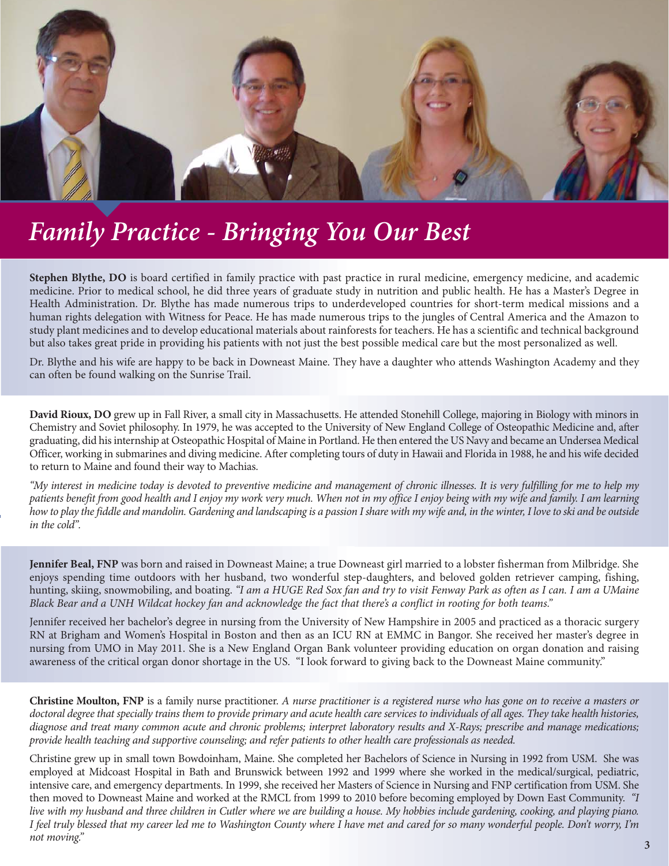

## *Family Practice - Bringing You Our Best*

**Stephen Blythe, DO** is board certified in family practice with past practice in rural medicine, emergency medicine, and academic medicine. Prior to medical school, he did three years of graduate study in nutrition and public health. He has a Master's Degree in Health Administration. Dr. Blythe has made numerous trips to underdeveloped countries for short-term medical missions and a human rights delegation with Witness for Peace. He has made numerous trips to the jungles of Central America and the Amazon to study plant medicines and to develop educational materials about rainforests for teachers. He has a scientific and technical background but also takes great pride in providing his patients with not just the best possible medical care but the most personalized as well.

Dr. Blythe and his wife are happy to be back in Downeast Maine. They have a daughter who attends Washington Academy and they can often be found walking on the Sunrise Trail.

**David Rioux, DO** grew up in Fall River, a small city in Massachusetts. He attended Stonehill College, majoring in Biology with minors in Chemistry and Soviet philosophy. In 1979, he was accepted to the University of New England College of Osteopathic Medicine and, after graduating, did his internship at Osteopathic Hospital of Maine in Portland. He then entered the US Navy and became an Undersea Medical Officer, working in submarines and diving medicine. After completing tours of duty in Hawaii and Florida in 1988, he and his wife decided to return to Maine and found their way to Machias.

*"My interest in medicine today is devoted to preventive medicine and management of chronic illnesses. It is very fulfilling for me to help my patients benefit from good health and I enjoy my work very much. When not in my office I enjoy being with my wife and family. I am learning how to play the fiddle and mandolin. Gardening and landscaping is a passion I share with my wife and, in the winter, I love to ski and be outside in the cold".*

**Jennifer Beal, FNP** was born and raised in Downeast Maine; a true Downeast girl married to a lobster fisherman from Milbridge. She enjoys spending time outdoors with her husband, two wonderful step-daughters, and beloved golden retriever camping, fishing, hunting, skiing, snowmobiling, and boating. *"I am a HUGE Red Sox fan and try to visit Fenway Park as often as I can. I am a UMaine Black Bear and a UNH Wildcat hockey fan and acknowledge the fact that there's a conflict in rooting for both teams."* 

Jennifer received her bachelor's degree in nursing from the University of New Hampshire in 2005 and practiced as a thoracic surgery RN at Brigham and Women's Hospital in Boston and then as an ICU RN at EMMC in Bangor. She received her master's degree in nursing from UMO in May 2011. She is a New England Organ Bank volunteer providing education on organ donation and raising awareness of the critical organ donor shortage in the US. "I look forward to giving back to the Downeast Maine community."

**Christine Moulton, FNP** is a family nurse practitioner. *A nurse practitioner is a registered nurse who has gone on to receive a masters or doctoral degree that specially trains them to provide primary and acute health care services to individuals of all ages. They take health histories, diagnose and treat many common acute and chronic problems; interpret laboratory results and X-Rays; prescribe and manage medications; provide health teaching and supportive counseling; and refer patients to other health care professionals as needed.*

Christine grew up in small town Bowdoinham, Maine. She completed her Bachelors of Science in Nursing in 1992 from USM. She was employed at Midcoast Hospital in Bath and Brunswick between 1992 and 1999 where she worked in the medical/surgical, pediatric, intensive care, and emergency departments. In 1999, she received her Masters of Science in Nursing and FNP certification from USM. She then moved to Downeast Maine and worked at the RMCL from 1999 to 2010 before becoming employed by Down East Community. *"I live with my husband and three children in Cutler where we are building a house. My hobbies include gardening, cooking, and playing piano. I feel truly blessed that my career led me to Washington County where I have met and cared for so many wonderful people. Don't worry, I'm not moving."*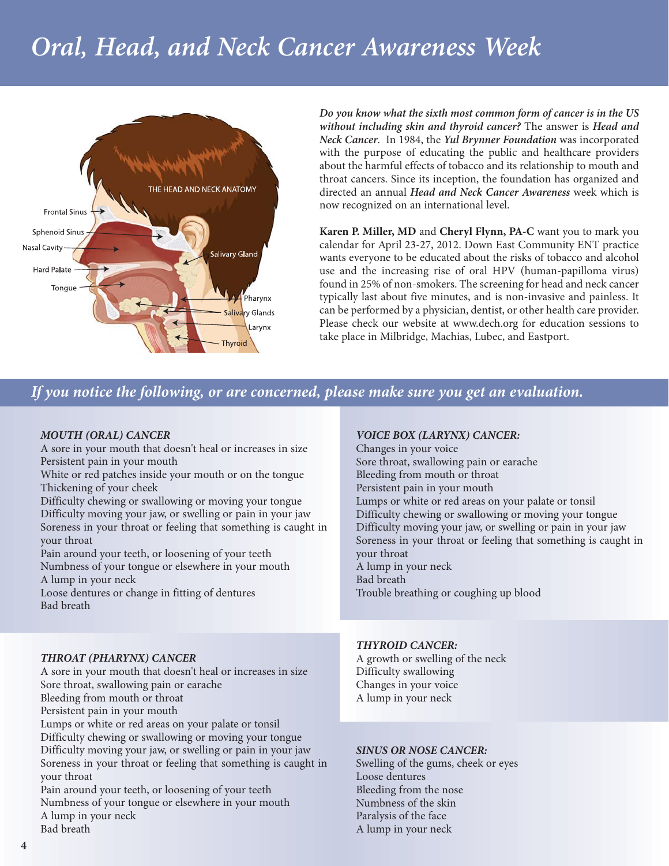# *Oral, Head, and Neck Cancer Awareness Week*



*Do you know what the sixth most common form of cancer is in the US without including skin and thyroid cancer?* The answer is *Head and Neck Cancer*. In 1984, the *Yul Brynner Foundation* was incorporated with the purpose of educating the public and healthcare providers about the harmful effects of tobacco and its relationship to mouth and throat cancers. Since its inception, the foundation has organized and directed an annual *Head and Neck Cancer Awareness* week which is now recognized on an international level.

**Karen P. Miller, MD** and **Cheryl Flynn, PA-C** want you to mark you calendar for April 23-27, 2012. Down East Community ENT practice wants everyone to be educated about the risks of tobacco and alcohol use and the increasing rise of oral HPV (human-papilloma virus) found in 25% of non-smokers. The screening for head and neck cancer typically last about five minutes, and is non-invasive and painless. It can be performed by a physician, dentist, or other health care provider. Please check our website at www.dech.org for education sessions to take place in Milbridge, Machias, Lubec, and Eastport.

### *If you notice the following, or are concerned, please make sure you get an evaluation.*

#### *MOUTH (ORAL) CANCER*

A sore in your mouth that doesn't heal or increases in size Persistent pain in your mouth White or red patches inside your mouth or on the tongue

Thickening of your cheek Difficulty chewing or swallowing or moving your tongue Difficulty moving your jaw, or swelling or pain in your jaw Soreness in your throat or feeling that something is caught in

your throat Pain around your teeth, or loosening of your teeth Numbness of your tongue or elsewhere in your mouth A lump in your neck

Loose dentures or change in fitting of dentures Bad breath

### *VOICE BOX (LARYNX) CANCER:*

Changes in your voice Sore throat, swallowing pain or earache Bleeding from mouth or throat Persistent pain in your mouth Lumps or white or red areas on your palate or tonsil Difficulty chewing or swallowing or moving your tongue Difficulty moving your jaw, or swelling or pain in your jaw Soreness in your throat or feeling that something is caught in your throat A lump in your neck Bad breath Trouble breathing or coughing up blood

#### *THROAT (PHARYNX) CANCER*

A sore in your mouth that doesn't heal or increases in size Sore throat, swallowing pain or earache Bleeding from mouth or throat Persistent pain in your mouth

Lumps or white or red areas on your palate or tonsil Difficulty chewing or swallowing or moving your tongue Difficulty moving your jaw, or swelling or pain in your jaw Soreness in your throat or feeling that something is caught in your throat

Pain around your teeth, or loosening of your teeth Numbness of your tongue or elsewhere in your mouth A lump in your neck Bad breath

#### *THYROID CANCER:*

A growth or swelling of the neck Difficulty swallowing Changes in your voice A lump in your neck

#### *SINUS OR NOSE CANCER:*

Swelling of the gums, cheek or eyes Loose dentures Bleeding from the nose Numbness of the skin Paralysis of the face A lump in your neck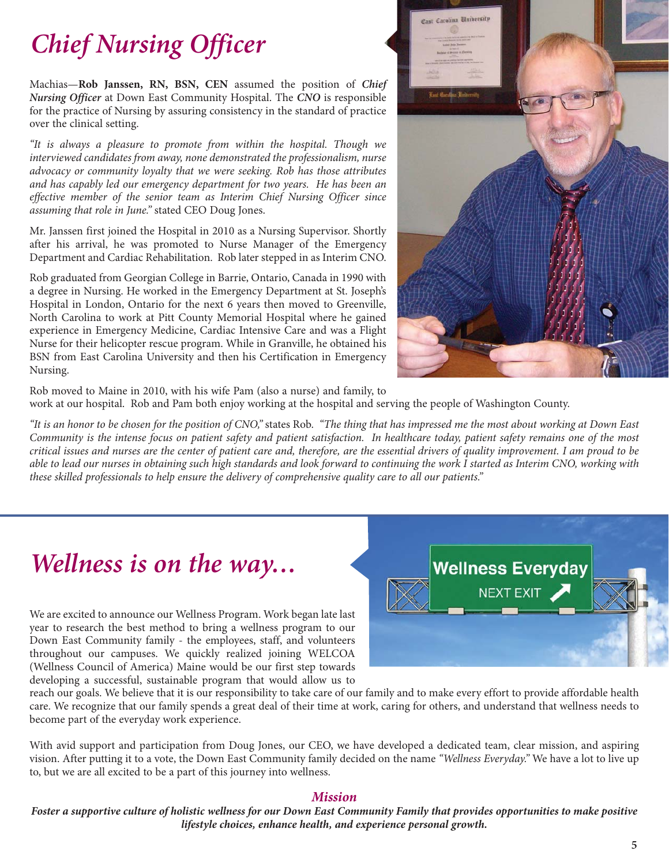# *Chief Nursing Officer*

Machias—**Rob Janssen, RN, BSN, CEN** assumed the position of *Chief Nursing Officer* at Down East Community Hospital. The *CNO* is responsible for the practice of Nursing by assuring consistency in the standard of practice over the clinical setting.

*"It is always a pleasure to promote from within the hospital. Though we interviewed candidates from away, none demonstrated the professionalism, nurse advocacy or community loyalty that we were seeking. Rob has those attributes and has capably led our emergency department for two years. He has been an effective member of the senior team as Interim Chief Nursing Officer since assuming that role in June."* stated CEO Doug Jones.

Mr. Janssen first joined the Hospital in 2010 as a Nursing Supervisor. Shortly after his arrival, he was promoted to Nurse Manager of the Emergency Department and Cardiac Rehabilitation. Rob later stepped in as Interim CNO.

Rob graduated from Georgian College in Barrie, Ontario, Canada in 1990 with a degree in Nursing. He worked in the Emergency Department at St. Joseph's Hospital in London, Ontario for the next 6 years then moved to Greenville, North Carolina to work at Pitt County Memorial Hospital where he gained experience in Emergency Medicine, Cardiac Intensive Care and was a Flight Nurse for their helicopter rescue program. While in Granville, he obtained his BSN from East Carolina University and then his Certification in Emergency Nursing.



Rob moved to Maine in 2010, with his wife Pam (also a nurse) and family, to work at our hospital. Rob and Pam both enjoy working at the hospital and serving the people of Washington County.

*"It is an honor to be chosen for the position of CNO,"* states Rob. *"The thing that has impressed me the most about working at Down East Community is the intense focus on patient safety and patient satisfaction. In healthcare today, patient safety remains one of the most critical issues and nurses are the center of patient care and, therefore, are the essential drivers of quality improvement. I am proud to be able to lead our nurses in obtaining such high standards and look forward to continuing the work I started as Interim CNO, working with these skilled professionals to help ensure the delivery of comprehensive quality care to all our patients."*

### *Wellness is on the way…*

We are excited to announce our Wellness Program. Work began late last year to research the best method to bring a wellness program to our Down East Community family - the employees, staff, and volunteers throughout our campuses. We quickly realized joining WELCOA (Wellness Council of America) Maine would be our first step towards developing a successful, sustainable program that would allow us to



reach our goals. We believe that it is our responsibility to take care of our family and to make every effort to provide affordable health care. We recognize that our family spends a great deal of their time at work, caring for others, and understand that wellness needs to become part of the everyday work experience.

With avid support and participation from Doug Jones, our CEO, we have developed a dedicated team, clear mission, and aspiring vision. After putting it to a vote, the Down East Community family decided on the name *"Wellness Everyday."* We have a lot to live up to, but we are all excited to be a part of this journey into wellness.

#### *Mission*

*Foster a supportive culture of holistic wellness for our Down East Community Family that provides opportunities to make positive lifestyle choices, enhance health, and experience personal growth.*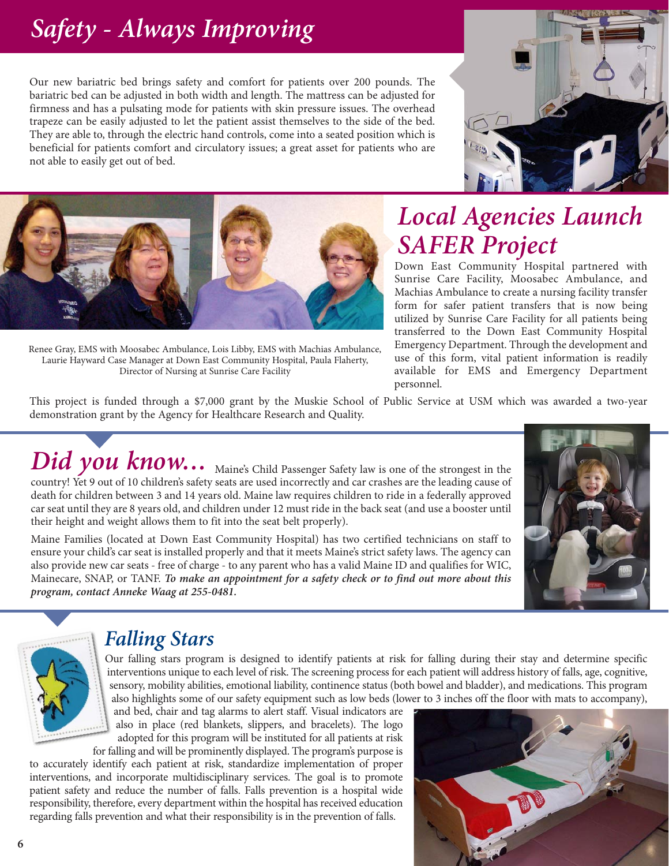# *Safety - Always Improving*

Our new bariatric bed brings safety and comfort for patients over 200 pounds. The bariatric bed can be adjusted in both width and length. The mattress can be adjusted for firmness and has a pulsating mode for patients with skin pressure issues. The overhead trapeze can be easily adjusted to let the patient assist themselves to the side of the bed. They are able to, through the electric hand controls, come into a seated position which is beneficial for patients comfort and circulatory issues; a great asset for patients who are not able to easily get out of bed.





Renee Gray, EMS with Moosabec Ambulance, Lois Libby, EMS with Machias Ambulance, Laurie Hayward Case Manager at Down East Community Hospital, Paula Flaherty, Director of Nursing at Sunrise Care Facility

## *Local Agencies Launch SAFER Project*

Down East Community Hospital partnered with Sunrise Care Facility, Moosabec Ambulance, and Machias Ambulance to create a nursing facility transfer form for safer patient transfers that is now being utilized by Sunrise Care Facility for all patients being transferred to the Down East Community Hospital Emergency Department. Through the development and use of this form, vital patient information is readily available for EMS and Emergency Department personnel.

This project is funded through a \$7,000 grant by the Muskie School of Public Service at USM which was awarded a two-year demonstration grant by the Agency for Healthcare Research and Quality.

*Did you know*... <sub>Maine's</sub> Child Passenger Safety law is one of the strongest in the country! Yet 9 out of 10 children's safety seats are used incorrectly and car crashes are the leading cause of death for children between 3 and 14 years old. Maine law requires children to ride in a federally approved car seat until they are 8 years old, and children under 12 must ride in the back seat (and use a booster until their height and weight allows them to fit into the seat belt properly).

Maine Families (located at Down East Community Hospital) has two certified technicians on staff to ensure your child's car seat is installed properly and that it meets Maine's strict safety laws. The agency can also provide new car seats - free of charge - to any parent who has a valid Maine ID and qualifies for WIC, Mainecare, SNAP, or TANF. *To make an appointment for a safety check or to find out more about this program, contact Anneke Waag at 255-0481.*





### *Falling Stars*

Our falling stars program is designed to identify patients at risk for falling during their stay and determine specific interventions unique to each level of risk. The screening process for each patient will address history of falls, age, cognitive, sensory, mobility abilities, emotional liability, continence status (both bowel and bladder), and medications. This program also highlights some of our safety equipment such as low beds (lower to 3 inches off the floor with mats to accompany),

and bed, chair and tag alarms to alert staff. Visual indicators are also in place (red blankets, slippers, and bracelets). The logo adopted for this program will be instituted for all patients at risk

for falling and will be prominently displayed. The program's purpose is to accurately identify each patient at risk, standardize implementation of proper interventions, and incorporate multidisciplinary services. The goal is to promote patient safety and reduce the number of falls. Falls prevention is a hospital wide responsibility, therefore, every department within the hospital has received education regarding falls prevention and what their responsibility is in the prevention of falls.

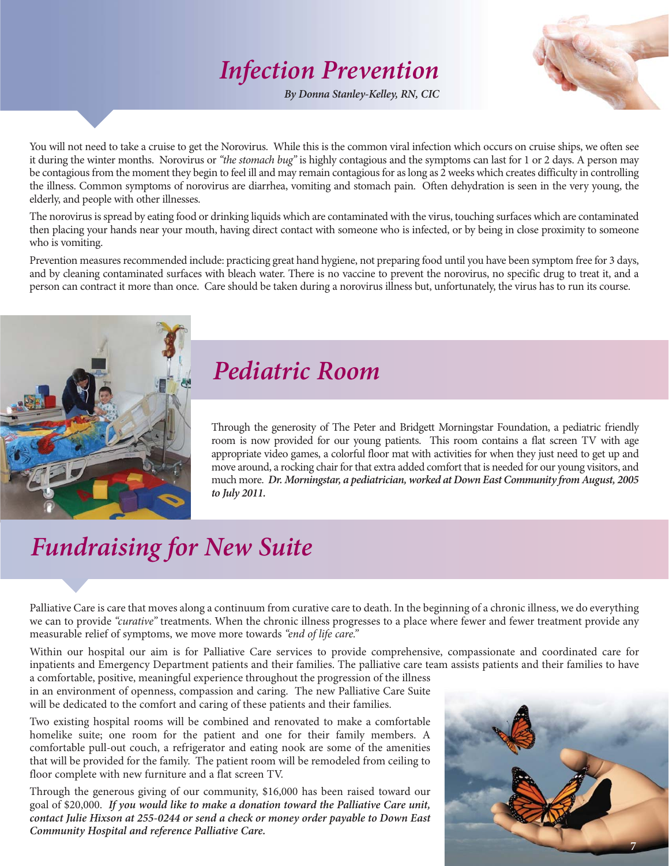### *Infection Prevention*

*By Donna Stanley-Kelley, RN, CIC*



You will not need to take a cruise to get the Norovirus. While this is the common viral infection which occurs on cruise ships, we often see it during the winter months. Norovirus or *"the stomach bug"* is highly contagious and the symptoms can last for 1 or 2 days. A person may be contagious from the moment they begin to feel ill and may remain contagious for as long as 2 weeks which creates difficulty in controlling the illness. Common symptoms of norovirus are diarrhea, vomiting and stomach pain. Often dehydration is seen in the very young, the elderly, and people with other illnesses.

The norovirus is spread by eating food or drinking liquids which are contaminated with the virus, touching surfaces which are contaminated then placing your hands near your mouth, having direct contact with someone who is infected, or by being in close proximity to someone who is vomiting.

Prevention measures recommended include: practicing great hand hygiene, not preparing food until you have been symptom free for 3 days, and by cleaning contaminated surfaces with bleach water. There is no vaccine to prevent the norovirus, no specific drug to treat it, and a person can contract it more than once. Care should be taken during a norovirus illness but, unfortunately, the virus has to run its course.



### *Pediatric Room*

Through the generosity of The Peter and Bridgett Morningstar Foundation, a pediatric friendly room is now provided for our young patients. This room contains a flat screen TV with age appropriate video games, a colorful floor mat with activities for when they just need to get up and move around, a rocking chair for that extra added comfort that is needed for our young visitors, and much more. *Dr. Morningstar, a pediatrician, worked at Down East Community from August, 2005 to July 2011.*

## *Fundraising for New Suite*

Palliative Care is care that moves along a continuum from curative care to death. In the beginning of a chronic illness, we do everything we can to provide *"curative"* treatments. When the chronic illness progresses to a place where fewer and fewer treatment provide any measurable relief of symptoms, we move more towards *"end of life care."*

Within our hospital our aim is for Palliative Care services to provide comprehensive, compassionate and coordinated care for inpatients and Emergency Department patients and their families. The palliative care team assists patients and their families to have a comfortable, positive, meaningful experience throughout the progression of the illness

in an environment of openness, compassion and caring. The new Palliative Care Suite will be dedicated to the comfort and caring of these patients and their families.

Two existing hospital rooms will be combined and renovated to make a comfortable homelike suite; one room for the patient and one for their family members. A comfortable pull-out couch, a refrigerator and eating nook are some of the amenities that will be provided for the family. The patient room will be remodeled from ceiling to floor complete with new furniture and a flat screen TV.

Through the generous giving of our community, \$16,000 has been raised toward our goal of \$20,000. *If you would like to make a donation toward the Palliative Care unit, contact Julie Hixson at 255-0244 or send a check or money order payable to Down East Community Hospital and reference Palliative Care.*